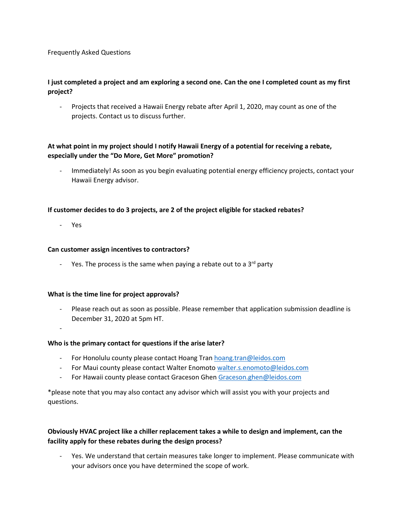#### Frequently Asked Questions

# **I just completed a project and am exploring a second one. Can the one I completed count as my first project?**

- Projects that received a Hawaii Energy rebate after April 1, 2020, may count as one of the projects. Contact us to discuss further.

# **At what point in my project should I notify Hawaii Energy of a potential for receiving a rebate, especially under the "Do More, Get More" promotion?**

Immediately! As soon as you begin evaluating potential energy efficiency projects, contact your Hawaii Energy advisor.

### **If customer decides to do 3 projects, are 2 of the project eligible for stacked rebates?**

- Yes

### **Can customer assign incentives to contractors?**

Yes. The process is the same when paying a rebate out to a  $3<sup>rd</sup>$  party

#### **What is the time line for project approvals?**

- Please reach out as soon as possible. Please remember that application submission deadline is December 31, 2020 at 5pm HT.

-

### **Who is the primary contact for questions if the arise later?**

- For Honolulu county please contact Hoang Tran [hoang.tran@leidos.com](mailto:hoang.tran@leidos.com)
- For Maui county please contact Walter Enomot[o walter.s.enomoto@leidos.com](mailto:walter.s.enomoto@leidos.com)
- For Hawaii county please contact Graceson Ghen [Graceson.ghen@leidos.com](mailto:Graceson.ghen@leidos.com)

\*please note that you may also contact any advisor which will assist you with your projects and questions.

### **Obviously HVAC project like a chiller replacement takes a while to design and implement, can the facility apply for these rebates during the design process?**

- Yes. We understand that certain measures take longer to implement. Please communicate with your advisors once you have determined the scope of work.